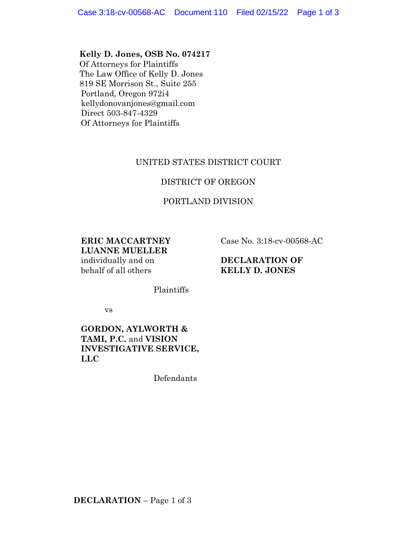**Kelly D. Jones, OSB No. 074217** Of Attorneys for Plaintiffs The Law Office of Kelly D. Jones 819 SE Morrison St., Suite 255 Portland, Oregon 972i4 kellydonovanjones@gmail.com Direct 503-847-4329 Of Attorneys for Plaintiffs

# UNITED STATES DISTRICT COURT

## DISTRICT OF OREGON

# PORTLAND DIVISION

**ERIC MACCARTNEY LUANNE MUELLER** individually and on behalf of all others

Case No. 3:18-cv-00568-AC

### **DECLARATION OF KELLY D. JONES**

Plaintiffs

vs

## **GORDON, AYLWORTH & TAMI, P.C.** and **VISION INVESTIGATIVE SERVICE, LLC**

Defendants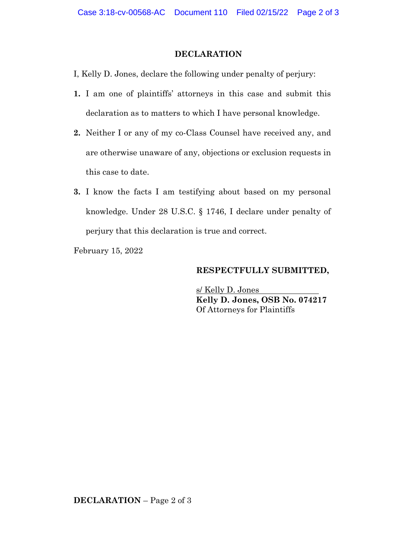#### **DECLARATION**

- I, Kelly D. Jones, declare the following under penalty of perjury:
- **1.** I am one of plaintiffs' attorneys in this case and submit this declaration as to matters to which I have personal knowledge.
- **2.** Neither I or any of my co-Class Counsel have received any, and are otherwise unaware of any, objections or exclusion requests in this case to date.
- **3.** I know the facts I am testifying about based on my personal knowledge. Under 28 U.S.C. § 1746, I declare under penalty of perjury that this declaration is true and correct.

February 15, 2022

#### **RESPECTFULLY SUBMITTED,**

s/ Kelly D. Jones **Kelly D. Jones, OSB No. 074217** Of Attorneys for Plaintiffs